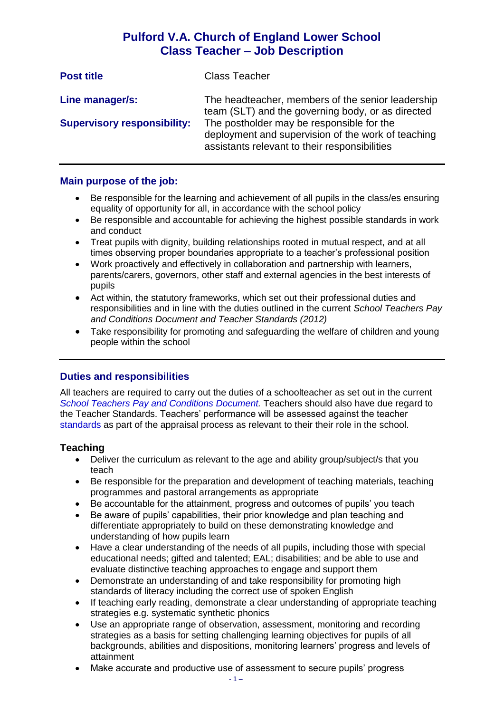## **Pulford V.A. Church of England Lower School Class Teacher – Job Description**

| <b>Post title</b>                  | <b>Class Teacher</b>                                                                                                                             |
|------------------------------------|--------------------------------------------------------------------------------------------------------------------------------------------------|
| Line manager/s:                    | The headteacher, members of the senior leadership<br>team (SLT) and the governing body, or as directed                                           |
| <b>Supervisory responsibility:</b> | The postholder may be responsible for the<br>deployment and supervision of the work of teaching<br>assistants relevant to their responsibilities |

## **Main purpose of the job:**

- Be responsible for the learning and achievement of all pupils in the class/es ensuring equality of opportunity for all, in accordance with the school policy
- Be responsible and accountable for achieving the highest possible standards in work and conduct
- Treat pupils with dignity, building relationships rooted in mutual respect, and at all times observing proper boundaries appropriate to a teacher's professional position
- Work proactively and effectively in collaboration and partnership with learners, parents/carers, governors, other staff and external agencies in the best interests of pupils
- Act within, the statutory frameworks, which set out their professional duties and responsibilities and in line with the duties outlined in the current *School Teachers Pay and Conditions Document and Teacher Standards (2012)*
- Take responsibility for promoting and safeguarding the welfare of children and young people within the school

## **Duties and responsibilities**

All teachers are required to carry out the duties of a schoolteacher as set out in the current *[School Teachers Pay and Conditions](https://www.education.gov.uk/publications/) Document.* Teachers should also have due regard to the Teacher Standards. Teachers' performance will be assessed against the teacher [standards](https://www.education.gov.uk/publications/standard/publicationDetail/Page1/DFE-00066-2011) as part of the appraisal process as relevant to their their role in the school.

## **Teaching**

- Deliver the curriculum as relevant to the age and ability group/subject/s that you teach
- Be responsible for the preparation and development of teaching materials, teaching programmes and pastoral arrangements as appropriate
- Be accountable for the attainment, progress and outcomes of pupils' you teach
- Be aware of pupils' capabilities, their prior knowledge and plan teaching and differentiate appropriately to build on these demonstrating knowledge and understanding of how pupils learn
- Have a clear understanding of the needs of all pupils, including those with special educational needs; gifted and talented; EAL; disabilities; and be able to use and evaluate distinctive teaching approaches to engage and support them
- Demonstrate an understanding of and take responsibility for promoting high standards of literacy including the correct use of spoken English
- If teaching early reading, demonstrate a clear understanding of appropriate teaching strategies e.g. systematic synthetic phonics
- Use an appropriate range of observation, assessment, monitoring and recording strategies as a basis for setting challenging learning objectives for pupils of all backgrounds, abilities and dispositions, monitoring learners' progress and levels of attainment
- Make accurate and productive use of assessment to secure pupils' progress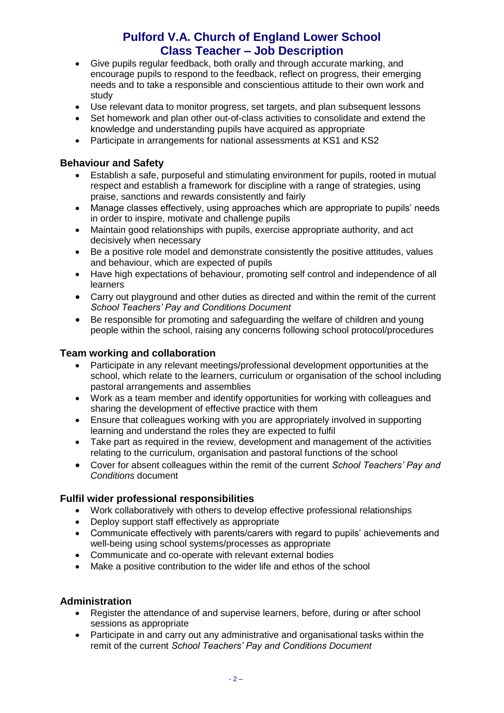# **Pulford V.A. Church of England Lower School Class Teacher – Job Description**

- Give pupils regular feedback, both orally and through accurate marking, and encourage pupils to respond to the feedback, reflect on progress, their emerging needs and to take a responsible and conscientious attitude to their own work and study
- Use relevant data to monitor progress, set targets, and plan subsequent lessons
- Set homework and plan other out-of-class activities to consolidate and extend the knowledge and understanding pupils have acquired as appropriate
- Participate in arrangements for national assessments at KS1 and KS2

### **Behaviour and Safety**

- Establish a safe, purposeful and stimulating environment for pupils, rooted in mutual respect and establish a framework for discipline with a range of strategies, using praise, sanctions and rewards consistently and fairly
- Manage classes effectively, using approaches which are appropriate to pupils' needs in order to inspire, motivate and challenge pupils
- Maintain good relationships with pupils, exercise appropriate authority, and act decisively when necessary
- Be a positive role model and demonstrate consistently the positive attitudes, values and behaviour, which are expected of pupils
- Have high expectations of behaviour, promoting self control and independence of all **learners**
- Carry out playground and other duties as directed and within the remit of the current *School Teachers' Pay and Conditions Document*
- Be responsible for promoting and safeguarding the welfare of children and young people within the school, raising any concerns following school protocol/procedures

## **Team working and collaboration**

- Participate in any relevant meetings/professional development opportunities at the school, which relate to the learners, curriculum or organisation of the school including pastoral arrangements and assemblies
- Work as a team member and identify opportunities for working with colleagues and sharing the development of effective practice with them
- Ensure that colleagues working with you are appropriately involved in supporting learning and understand the roles they are expected to fulfil
- Take part as required in the review, development and management of the activities relating to the curriculum, organisation and pastoral functions of the school
- Cover for absent colleagues within the remit of the current *School Teachers' Pay and Conditions* document

#### **Fulfil wider professional responsibilities**

- Work collaboratively with others to develop effective professional relationships
- Deploy support staff effectively as appropriate
- Communicate effectively with parents/carers with regard to pupils' achievements and well-being using school systems/processes as appropriate
- Communicate and co-operate with relevant external bodies
- Make a positive contribution to the wider life and ethos of the school

## **Administration**

- Register the attendance of and supervise learners, before, during or after school sessions as appropriate
- Participate in and carry out any administrative and organisational tasks within the remit of the current *School Teachers' Pay and Conditions Document*